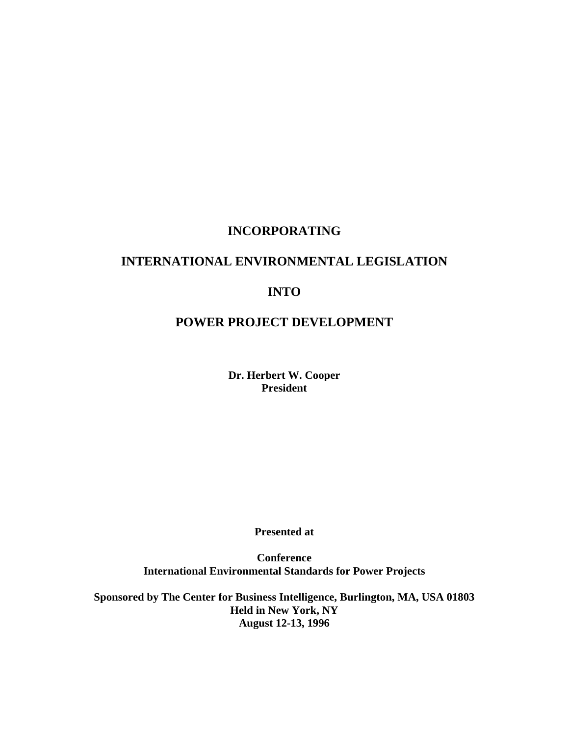# **INCORPORATING**

# **INTERNATIONAL ENVIRONMENTAL LEGISLATION**

# **INTO**

# **POWER PROJECT DEVELOPMENT**

**Dr. Herbert W. Cooper President** 

 **Presented at** 

 **Conference International Environmental Standards for Power Projects** 

 **Sponsored by The Center for Business Intelligence, Burlington, MA, USA 01803 Held in New York, NY August 12-13, 1996**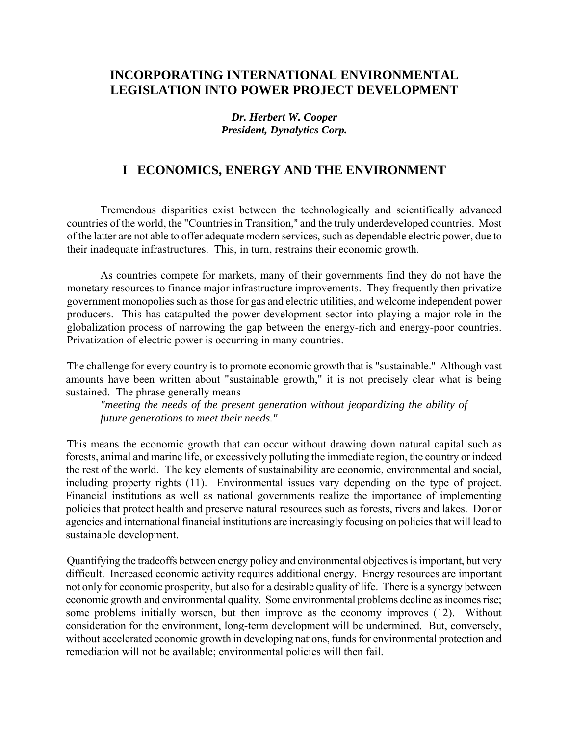# **INCORPORATING INTERNATIONAL ENVIRONMENTAL LEGISLATION INTO POWER PROJECT DEVELOPMENT**

*Dr. Herbert W. Cooper President, Dynalytics Corp.*

# **I ECONOMICS, ENERGY AND THE ENVIRONMENT**

Tremendous disparities exist between the technologically and scientifically advanced countries of the world, the "Countries in Transition," and the truly underdeveloped countries. Most of the latter are not able to offer adequate modern services, such as dependable electric power, due to their inadequate infrastructures. This, in turn, restrains their economic growth.

As countries compete for markets, many of their governments find they do not have the monetary resources to finance major infrastructure improvements. They frequently then privatize government monopolies such as those for gas and electric utilities, and welcome independent power producers. This has catapulted the power development sector into playing a major role in the globalization process of narrowing the gap between the energy-rich and energy-poor countries. Privatization of electric power is occurring in many countries.

The challenge for every country is to promote economic growth that is "sustainable." Although vast amounts have been written about "sustainable growth," it is not precisely clear what is being sustained. The phrase generally means

*"meeting the needs of the present generation without jeopardizing the ability of future generations to meet their needs."*

This means the economic growth that can occur without drawing down natural capital such as forests, animal and marine life, or excessively polluting the immediate region, the country or indeed the rest of the world. The key elements of sustainability are economic, environmental and social, including property rights (11). Environmental issues vary depending on the type of project. Financial institutions as well as national governments realize the importance of implementing policies that protect health and preserve natural resources such as forests, rivers and lakes. Donor agencies and international financial institutions are increasingly focusing on policies that will lead to sustainable development.

Quantifying the tradeoffs between energy policy and environmental objectives is important, but very difficult. Increased economic activity requires additional energy. Energy resources are important not only for economic prosperity, but also for a desirable quality of life. There is a synergy between economic growth and environmental quality. Some environmental problems decline as incomes rise; some problems initially worsen, but then improve as the economy improves (12). Without consideration for the environment, long-term development will be undermined. But, conversely, without accelerated economic growth in developing nations, funds for environmental protection and remediation will not be available; environmental policies will then fail.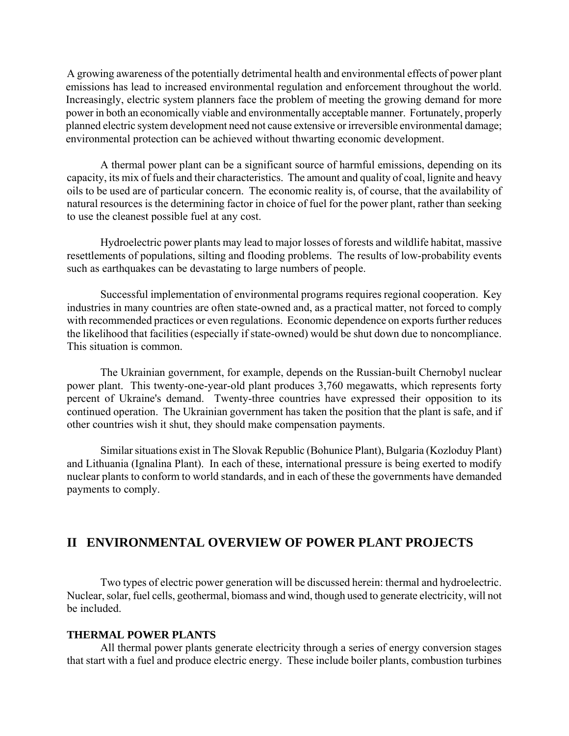A growing awareness of the potentially detrimental health and environmental effects of power plant emissions has lead to increased environmental regulation and enforcement throughout the world. Increasingly, electric system planners face the problem of meeting the growing demand for more power in both an economically viable and environmentally acceptable manner. Fortunately, properly planned electric system development need not cause extensive or irreversible environmental damage; environmental protection can be achieved without thwarting economic development.

A thermal power plant can be a significant source of harmful emissions, depending on its capacity, its mix of fuels and their characteristics. The amount and quality of coal, lignite and heavy oils to be used are of particular concern. The economic reality is, of course, that the availability of natural resources is the determining factor in choice of fuel for the power plant, rather than seeking to use the cleanest possible fuel at any cost.

Hydroelectric power plants may lead to major losses of forests and wildlife habitat, massive resettlements of populations, silting and flooding problems. The results of low-probability events such as earthquakes can be devastating to large numbers of people.

Successful implementation of environmental programs requires regional cooperation. Key industries in many countries are often state-owned and, as a practical matter, not forced to comply with recommended practices or even regulations. Economic dependence on exports further reduces the likelihood that facilities (especially if state-owned) would be shut down due to noncompliance. This situation is common.

The Ukrainian government, for example, depends on the Russian-built Chernobyl nuclear power plant. This twenty-one-year-old plant produces 3,760 megawatts, which represents forty percent of Ukraine's demand. Twenty-three countries have expressed their opposition to its continued operation. The Ukrainian government has taken the position that the plant is safe, and if other countries wish it shut, they should make compensation payments.

Similar situations exist in The Slovak Republic (Bohunice Plant), Bulgaria (Kozloduy Plant) and Lithuania (Ignalina Plant). In each of these, international pressure is being exerted to modify nuclear plants to conform to world standards, and in each of these the governments have demanded payments to comply.

# **II ENVIRONMENTAL OVERVIEW OF POWER PLANT PROJECTS**

Two types of electric power generation will be discussed herein: thermal and hydroelectric. Nuclear, solar, fuel cells, geothermal, biomass and wind, though used to generate electricity, will not be included.

## **THERMAL POWER PLANTS**

All thermal power plants generate electricity through a series of energy conversion stages that start with a fuel and produce electric energy. These include boiler plants, combustion turbines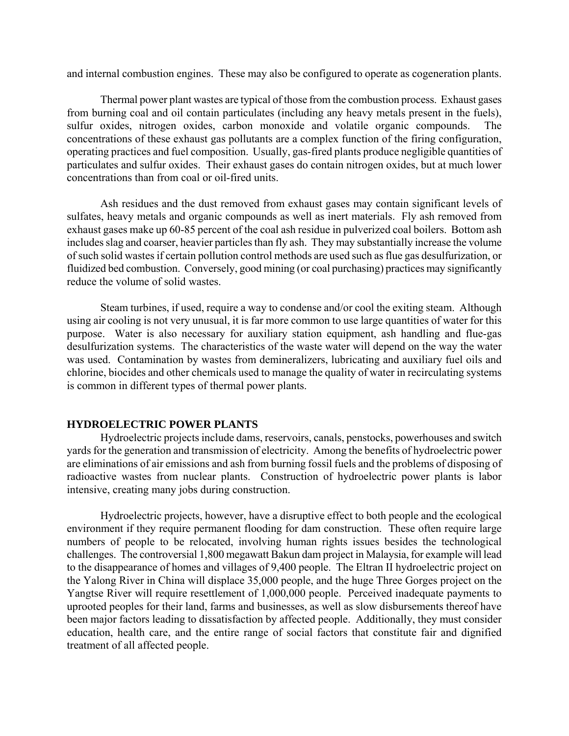and internal combustion engines. These may also be configured to operate as cogeneration plants.

Thermal power plant wastes are typical of those from the combustion process. Exhaust gases from burning coal and oil contain particulates (including any heavy metals present in the fuels), sulfur oxides, nitrogen oxides, carbon monoxide and volatile organic compounds. The concentrations of these exhaust gas pollutants are a complex function of the firing configuration, operating practices and fuel composition. Usually, gas-fired plants produce negligible quantities of particulates and sulfur oxides. Their exhaust gases do contain nitrogen oxides, but at much lower concentrations than from coal or oil-fired units.

Ash residues and the dust removed from exhaust gases may contain significant levels of sulfates, heavy metals and organic compounds as well as inert materials. Fly ash removed from exhaust gases make up 60-85 percent of the coal ash residue in pulverized coal boilers. Bottom ash includes slag and coarser, heavier particles than fly ash. They may substantially increase the volume of such solid wastes if certain pollution control methods are used such as flue gas desulfurization, or fluidized bed combustion. Conversely, good mining (or coal purchasing) practices may significantly reduce the volume of solid wastes.

Steam turbines, if used, require a way to condense and/or cool the exiting steam. Although using air cooling is not very unusual, it is far more common to use large quantities of water for this purpose. Water is also necessary for auxiliary station equipment, ash handling and flue-gas desulfurization systems. The characteristics of the waste water will depend on the way the water was used. Contamination by wastes from demineralizers, lubricating and auxiliary fuel oils and chlorine, biocides and other chemicals used to manage the quality of water in recirculating systems is common in different types of thermal power plants.

#### **HYDROELECTRIC POWER PLANTS**

Hydroelectric projects include dams, reservoirs, canals, penstocks, powerhouses and switch yards for the generation and transmission of electricity. Among the benefits of hydroelectric power are eliminations of air emissions and ash from burning fossil fuels and the problems of disposing of radioactive wastes from nuclear plants. Construction of hydroelectric power plants is labor intensive, creating many jobs during construction.

Hydroelectric projects, however, have a disruptive effect to both people and the ecological environment if they require permanent flooding for dam construction. These often require large numbers of people to be relocated, involving human rights issues besides the technological challenges. The controversial 1,800 megawatt Bakun dam project in Malaysia, for example will lead to the disappearance of homes and villages of 9,400 people. The Eltran II hydroelectric project on the Yalong River in China will displace 35,000 people, and the huge Three Gorges project on the Yangtse River will require resettlement of 1,000,000 people. Perceived inadequate payments to uprooted peoples for their land, farms and businesses, as well as slow disbursements thereof have been major factors leading to dissatisfaction by affected people. Additionally, they must consider education, health care, and the entire range of social factors that constitute fair and dignified treatment of all affected people.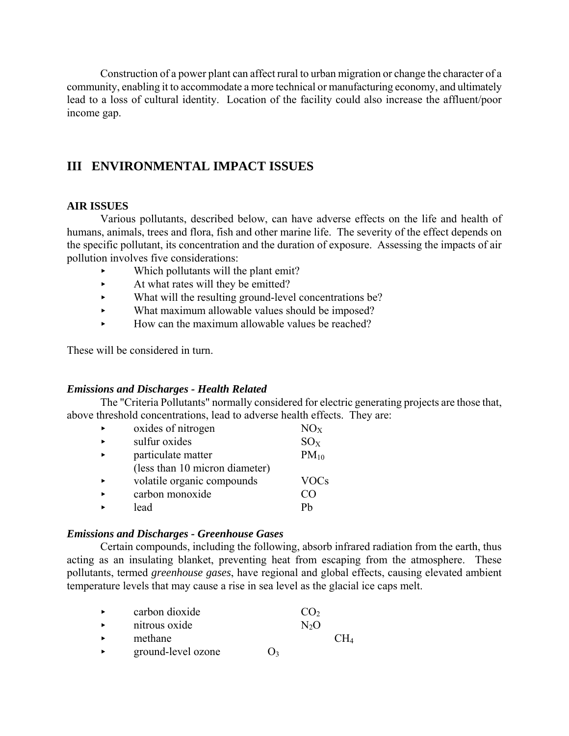Construction of a power plant can affect rural to urban migration or change the character of a community, enabling it to accommodate a more technical or manufacturing economy, and ultimately lead to a loss of cultural identity. Location of the facility could also increase the affluent/poor income gap.

# **III ENVIRONMENTAL IMPACT ISSUES**

### **AIR ISSUES**

Various pollutants, described below, can have adverse effects on the life and health of humans, animals, trees and flora, fish and other marine life. The severity of the effect depends on the specific pollutant, its concentration and the duration of exposure. Assessing the impacts of air pollution involves five considerations:

- $\blacktriangleright$  Which pollutants will the plant emit?
- $\blacktriangleright$  At what rates will they be emitted?
- < What will the resulting ground-level concentrations be?
- What maximum allowable values should be imposed?
- $\blacktriangleright$  How can the maximum allowable values be reached?

These will be considered in turn.

## *Emissions and Discharges - Health Related*

The "Criteria Pollutants" normally considered for electric generating projects are those that, above threshold concentrations, lead to adverse health effects. They are:

| $\blacktriangleright$ | oxides of nitrogen             | NO <sub>x</sub> |
|-----------------------|--------------------------------|-----------------|
| $\blacksquare$        | sulfur oxides                  | $SO_{X}$        |
|                       | particulate matter             | $PM_{10}$       |
|                       | (less than 10 micron diameter) |                 |
| $\blacksquare$        | volatile organic compounds     | <b>VOCs</b>     |
|                       | carbon monoxide                | CΩ              |
|                       | lead                           | Ph              |

#### *Emissions and Discharges - Greenhouse Gases*

Certain compounds, including the following, absorb infrared radiation from the earth, thus acting as an insulating blanket, preventing heat from escaping from the atmosphere. These pollutants, termed *greenhouse gases*, have regional and global effects, causing elevated ambient temperature levels that may cause a rise in sea level as the glacial ice caps melt.

| carbon dioxide     |                       | CO <sub>2</sub> |        |
|--------------------|-----------------------|-----------------|--------|
| nitrous oxide      |                       | N2O             |        |
| methane            |                       |                 | $CH_4$ |
| ground-level ozone | $\sum_{i=1}^{\infty}$ |                 |        |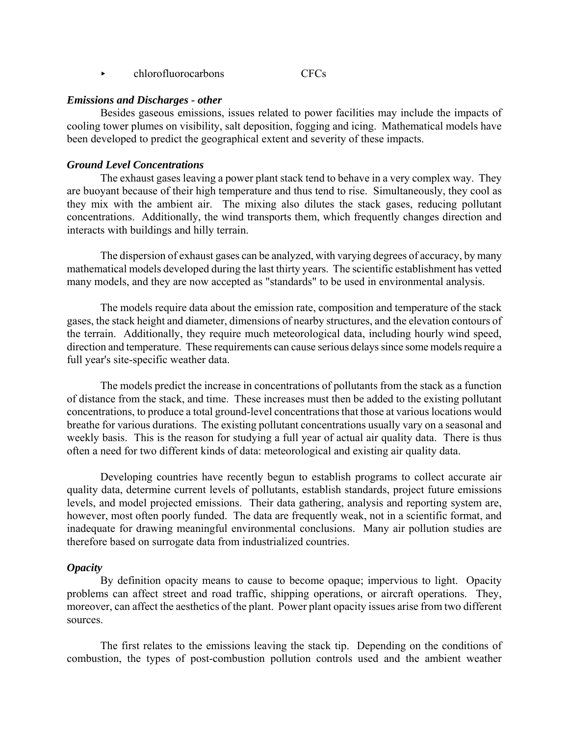$\triangleright$  chlorofluorocarbons CFCs

#### *Emissions and Discharges - other*

Besides gaseous emissions, issues related to power facilities may include the impacts of cooling tower plumes on visibility, salt deposition, fogging and icing. Mathematical models have been developed to predict the geographical extent and severity of these impacts.

#### *Ground Level Concentrations*

The exhaust gases leaving a power plant stack tend to behave in a very complex way. They are buoyant because of their high temperature and thus tend to rise. Simultaneously, they cool as they mix with the ambient air. The mixing also dilutes the stack gases, reducing pollutant concentrations. Additionally, the wind transports them, which frequently changes direction and interacts with buildings and hilly terrain.

The dispersion of exhaust gases can be analyzed, with varying degrees of accuracy, by many mathematical models developed during the last thirty years. The scientific establishment has vetted many models, and they are now accepted as "standards" to be used in environmental analysis.

The models require data about the emission rate, composition and temperature of the stack gases, the stack height and diameter, dimensions of nearby structures, and the elevation contours of the terrain. Additionally, they require much meteorological data, including hourly wind speed, direction and temperature. These requirements can cause serious delays since some models require a full year's site-specific weather data.

The models predict the increase in concentrations of pollutants from the stack as a function of distance from the stack, and time. These increases must then be added to the existing pollutant concentrations, to produce a total ground-level concentrations that those at various locations would breathe for various durations. The existing pollutant concentrations usually vary on a seasonal and weekly basis. This is the reason for studying a full year of actual air quality data. There is thus often a need for two different kinds of data: meteorological and existing air quality data.

Developing countries have recently begun to establish programs to collect accurate air quality data, determine current levels of pollutants, establish standards, project future emissions levels, and model projected emissions. Their data gathering, analysis and reporting system are, however, most often poorly funded. The data are frequently weak, not in a scientific format, and inadequate for drawing meaningful environmental conclusions. Many air pollution studies are therefore based on surrogate data from industrialized countries.

#### *Opacity*

By definition opacity means to cause to become opaque; impervious to light. Opacity problems can affect street and road traffic, shipping operations, or aircraft operations. They, moreover, can affect the aesthetics of the plant. Power plant opacity issues arise from two different sources.

The first relates to the emissions leaving the stack tip. Depending on the conditions of combustion, the types of post-combustion pollution controls used and the ambient weather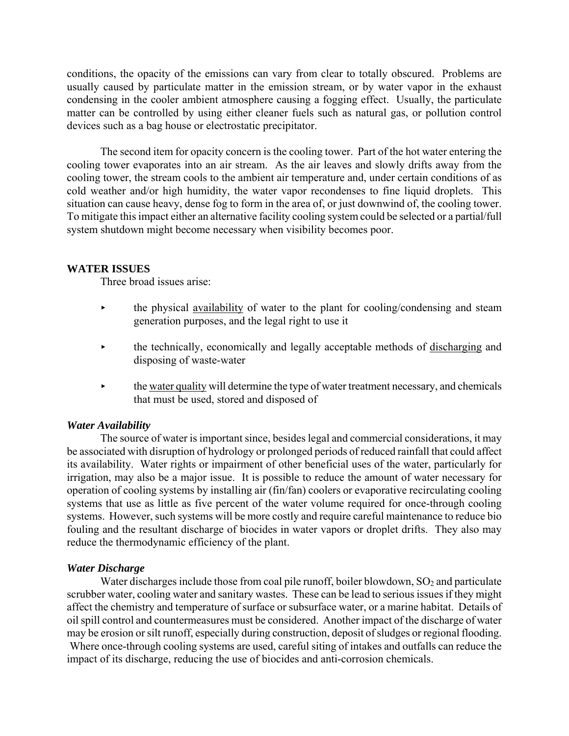conditions, the opacity of the emissions can vary from clear to totally obscured. Problems are usually caused by particulate matter in the emission stream, or by water vapor in the exhaust condensing in the cooler ambient atmosphere causing a fogging effect. Usually, the particulate matter can be controlled by using either cleaner fuels such as natural gas, or pollution control devices such as a bag house or electrostatic precipitator.

The second item for opacity concern is the cooling tower. Part of the hot water entering the cooling tower evaporates into an air stream. As the air leaves and slowly drifts away from the cooling tower, the stream cools to the ambient air temperature and, under certain conditions of as cold weather and/or high humidity, the water vapor recondenses to fine liquid droplets. This situation can cause heavy, dense fog to form in the area of, or just downwind of, the cooling tower. To mitigate this impact either an alternative facility cooling system could be selected or a partial/full system shutdown might become necessary when visibility becomes poor.

### **WATER ISSUES**

Three broad issues arise:

- < the physical availability of water to the plant for cooling/condensing and steam generation purposes, and the legal right to use it
- $\rightarrow$  the technically, economically and legally acceptable methods of discharging and disposing of waste-water
- $\rightarrow$  the water quality will determine the type of water treatment necessary, and chemicals that must be used, stored and disposed of

## *Water Availability*

The source of water is important since, besides legal and commercial considerations, it may be associated with disruption of hydrology or prolonged periods of reduced rainfall that could affect its availability. Water rights or impairment of other beneficial uses of the water, particularly for irrigation, may also be a major issue. It is possible to reduce the amount of water necessary for operation of cooling systems by installing air (fin/fan) coolers or evaporative recirculating cooling systems that use as little as five percent of the water volume required for once-through cooling systems. However, such systems will be more costly and require careful maintenance to reduce bio fouling and the resultant discharge of biocides in water vapors or droplet drifts. They also may reduce the thermodynamic efficiency of the plant.

## *Water Discharge*

Water discharges include those from coal pile runoff, boiler blowdown,  $SO_2$  and particulate scrubber water, cooling water and sanitary wastes. These can be lead to serious issues if they might affect the chemistry and temperature of surface or subsurface water, or a marine habitat. Details of oil spill control and countermeasures must be considered. Another impact of the discharge of water may be erosion or silt runoff, especially during construction, deposit of sludges or regional flooding.

 Where once-through cooling systems are used, careful siting of intakes and outfalls can reduce the impact of its discharge, reducing the use of biocides and anti-corrosion chemicals.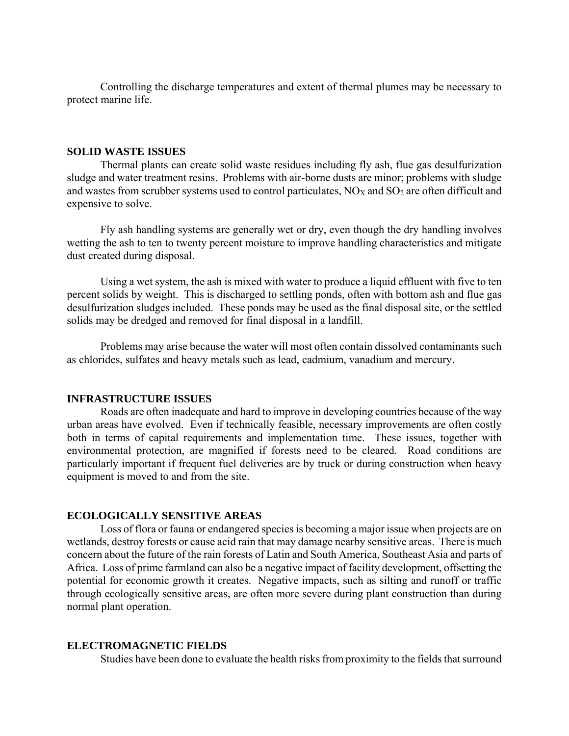Controlling the discharge temperatures and extent of thermal plumes may be necessary to protect marine life.

#### **SOLID WASTE ISSUES**

Thermal plants can create solid waste residues including fly ash, flue gas desulfurization sludge and water treatment resins. Problems with air-borne dusts are minor; problems with sludge and wastes from scrubber systems used to control particulates,  $NO<sub>x</sub>$  and  $SO<sub>2</sub>$  are often difficult and expensive to solve.

Fly ash handling systems are generally wet or dry, even though the dry handling involves wetting the ash to ten to twenty percent moisture to improve handling characteristics and mitigate dust created during disposal.

Using a wet system, the ash is mixed with water to produce a liquid effluent with five to ten percent solids by weight. This is discharged to settling ponds, often with bottom ash and flue gas desulfurization sludges included. These ponds may be used as the final disposal site, or the settled solids may be dredged and removed for final disposal in a landfill.

Problems may arise because the water will most often contain dissolved contaminants such as chlorides, sulfates and heavy metals such as lead, cadmium, vanadium and mercury.

### **INFRASTRUCTURE ISSUES**

Roads are often inadequate and hard to improve in developing countries because of the way urban areas have evolved. Even if technically feasible, necessary improvements are often costly both in terms of capital requirements and implementation time. These issues, together with environmental protection, are magnified if forests need to be cleared. Road conditions are particularly important if frequent fuel deliveries are by truck or during construction when heavy equipment is moved to and from the site.

#### **ECOLOGICALLY SENSITIVE AREAS**

Loss of flora or fauna or endangered species is becoming a major issue when projects are on wetlands, destroy forests or cause acid rain that may damage nearby sensitive areas. There is much concern about the future of the rain forests of Latin and South America, Southeast Asia and parts of Africa. Loss of prime farmland can also be a negative impact of facility development, offsetting the potential for economic growth it creates. Negative impacts, such as silting and runoff or traffic through ecologically sensitive areas, are often more severe during plant construction than during normal plant operation.

#### **ELECTROMAGNETIC FIELDS**

Studies have been done to evaluate the health risks from proximity to the fields that surround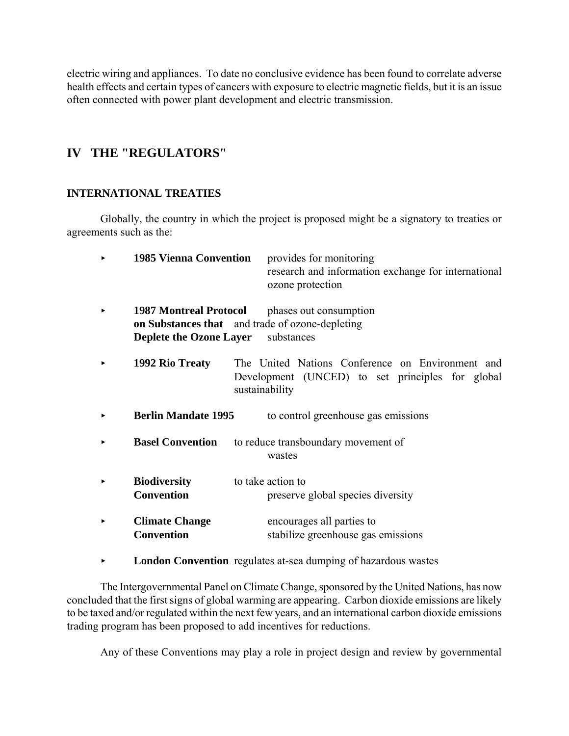electric wiring and appliances. To date no conclusive evidence has been found to correlate adverse health effects and certain types of cancers with exposure to electric magnetic fields, but it is an issue often connected with power plant development and electric transmission.

# **IV THE "REGULATORS"**

# **INTERNATIONAL TREATIES**

Globally, the country in which the project is proposed might be a signatory to treaties or agreements such as the:

| <b>1985 Vienna Convention</b>                                                                                      | provides for monitoring<br>research and information exchange for international<br>ozone protection                     |
|--------------------------------------------------------------------------------------------------------------------|------------------------------------------------------------------------------------------------------------------------|
| <b>1987 Montreal Protocol</b><br>on Substances that and trade of ozone-depleting<br><b>Deplete the Ozone Layer</b> | phases out consumption<br>substances                                                                                   |
| 1992 Rio Treaty                                                                                                    | The United Nations Conference on Environment and<br>Development (UNCED) to set principles for global<br>sustainability |
| <b>Berlin Mandate 1995</b>                                                                                         | to control greenhouse gas emissions                                                                                    |
| <b>Basel Convention</b>                                                                                            | to reduce transboundary movement of<br>wastes                                                                          |
| <b>Biodiversity</b><br><b>Convention</b>                                                                           | to take action to<br>preserve global species diversity                                                                 |
| <b>Climate Change</b><br><b>Convention</b>                                                                         | encourages all parties to<br>stabilize greenhouse gas emissions                                                        |

**London Convention** regulates at-sea dumping of hazardous wastes

The Intergovernmental Panel on Climate Change, sponsored by the United Nations, has now concluded that the first signs of global warming are appearing. Carbon dioxide emissions are likely to be taxed and/or regulated within the next few years, and an international carbon dioxide emissions trading program has been proposed to add incentives for reductions.

Any of these Conventions may play a role in project design and review by governmental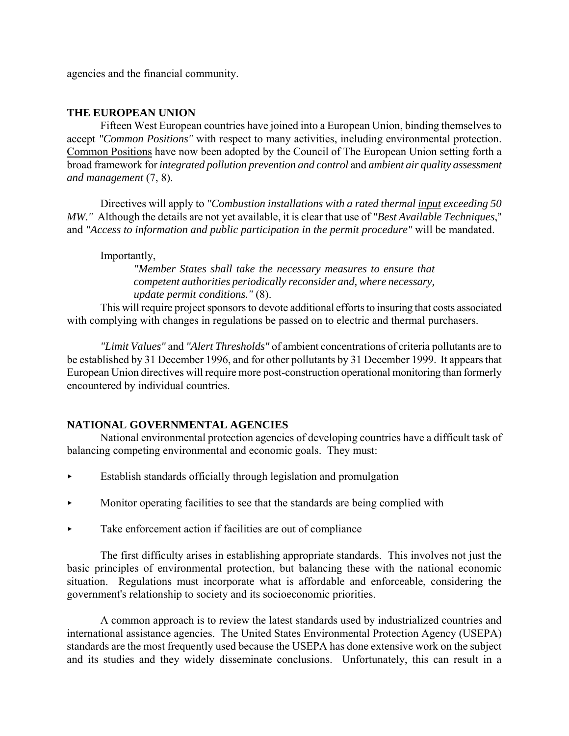agencies and the financial community.

# **THE EUROPEAN UNION**

Fifteen West European countries have joined into a European Union, binding themselves to accept *"Common Positions"* with respect to many activities, including environmental protection. Common Positions have now been adopted by the Council of The European Union setting forth a broad framework for *integrated pollution prevention and control* and *ambient air quality assessment and management* (7, 8).

Directives will apply to *"Combustion installations with a rated thermal input exceeding 50 MW."* Although the details are not yet available, it is clear that use of *"Best Available Techniques*," and *"Access to information and public participation in the permit procedure"* will be mandated.

# Importantly,

*"Member States shall take the necessary measures to ensure that competent authorities periodically reconsider and, where necessary, update permit conditions."* (8).

This will require project sponsors to devote additional efforts to insuring that costs associated with complying with changes in regulations be passed on to electric and thermal purchasers.

*"Limit Values"* and *"Alert Thresholds"* of ambient concentrations of criteria pollutants are to be established by 31 December 1996, and for other pollutants by 31 December 1999. It appears that European Union directives will require more post-construction operational monitoring than formerly encountered by individual countries.

# **NATIONAL GOVERNMENTAL AGENCIES**

National environmental protection agencies of developing countries have a difficult task of balancing competing environmental and economic goals. They must:

- $\blacktriangleright$  Establish standards officially through legislation and promulgation
- < Monitor operating facilities to see that the standards are being complied with
- $\blacktriangleright$  Take enforcement action if facilities are out of compliance

The first difficulty arises in establishing appropriate standards. This involves not just the basic principles of environmental protection, but balancing these with the national economic situation. Regulations must incorporate what is affordable and enforceable, considering the government's relationship to society and its socioeconomic priorities.

A common approach is to review the latest standards used by industrialized countries and international assistance agencies. The United States Environmental Protection Agency (USEPA) standards are the most frequently used because the USEPA has done extensive work on the subject and its studies and they widely disseminate conclusions. Unfortunately, this can result in a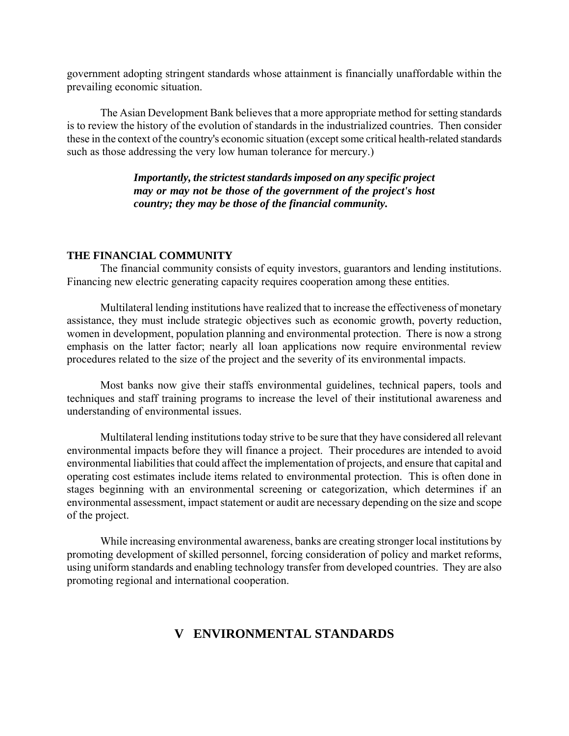government adopting stringent standards whose attainment is financially unaffordable within the prevailing economic situation.

The Asian Development Bank believes that a more appropriate method for setting standards is to review the history of the evolution of standards in the industrialized countries. Then consider these in the context of the country's economic situation (except some critical health-related standards such as those addressing the very low human tolerance for mercury.)

> *Importantly, the strictest standards imposed on any specific project may or may not be those of the government of the project's host country; they may be those of the financial community.*

### **THE FINANCIAL COMMUNITY**

The financial community consists of equity investors, guarantors and lending institutions. Financing new electric generating capacity requires cooperation among these entities.

Multilateral lending institutions have realized that to increase the effectiveness of monetary assistance, they must include strategic objectives such as economic growth, poverty reduction, women in development, population planning and environmental protection. There is now a strong emphasis on the latter factor; nearly all loan applications now require environmental review procedures related to the size of the project and the severity of its environmental impacts.

Most banks now give their staffs environmental guidelines, technical papers, tools and techniques and staff training programs to increase the level of their institutional awareness and understanding of environmental issues.

Multilateral lending institutions today strive to be sure that they have considered all relevant environmental impacts before they will finance a project. Their procedures are intended to avoid environmental liabilities that could affect the implementation of projects, and ensure that capital and operating cost estimates include items related to environmental protection. This is often done in stages beginning with an environmental screening or categorization, which determines if an environmental assessment, impact statement or audit are necessary depending on the size and scope of the project.

While increasing environmental awareness, banks are creating stronger local institutions by promoting development of skilled personnel, forcing consideration of policy and market reforms, using uniform standards and enabling technology transfer from developed countries. They are also promoting regional and international cooperation.

# **V ENVIRONMENTAL STANDARDS**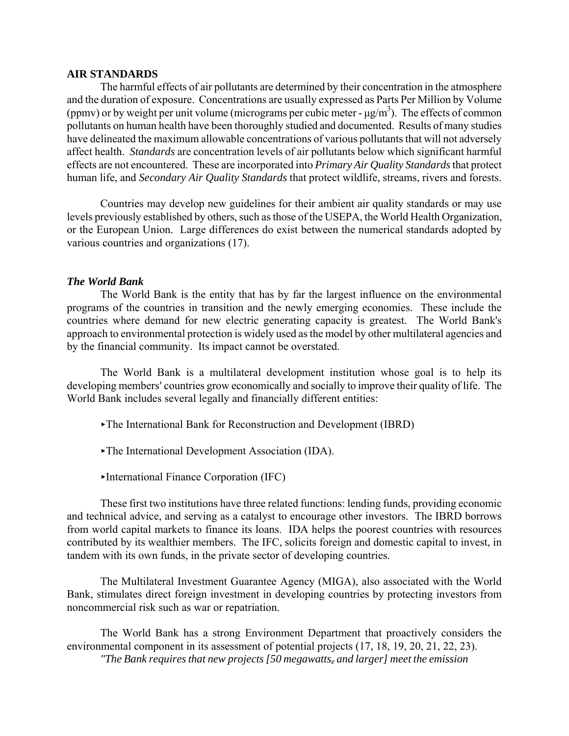#### **AIR STANDARDS**

The harmful effects of air pollutants are determined by their concentration in the atmosphere and the duration of exposure. Concentrations are usually expressed as Parts Per Million by Volume (ppmv) or by weight per unit volume (micrograms per cubic meter -  $\mu$ g/m<sup>3</sup>). The effects of common pollutants on human health have been thoroughly studied and documented. Results of many studies have delineated the maximum allowable concentrations of various pollutants that will not adversely affect health. *Standards* are concentration levels of air pollutants below which significant harmful effects are not encountered. These are incorporated into *Primary Air Quality Standards* that protect human life, and *Secondary Air Quality Standards* that protect wildlife, streams, rivers and forests.

Countries may develop new guidelines for their ambient air quality standards or may use levels previously established by others, such as those of the USEPA, the World Health Organization, or the European Union. Large differences do exist between the numerical standards adopted by various countries and organizations (17).

#### *The World Bank*

The World Bank is the entity that has by far the largest influence on the environmental programs of the countries in transition and the newly emerging economies. These include the countries where demand for new electric generating capacity is greatest. The World Bank's approach to environmental protection is widely used as the model by other multilateral agencies and by the financial community. Its impact cannot be overstated.

The World Bank is a multilateral development institution whose goal is to help its developing members' countries grow economically and socially to improve their quality of life. The World Bank includes several legally and financially different entities:

- <The International Bank for Reconstruction and Development (IBRD)
- $\blacktriangleright$ The International Development Association (IDA).
- <International Finance Corporation (IFC)

These first two institutions have three related functions: lending funds, providing economic and technical advice, and serving as a catalyst to encourage other investors. The IBRD borrows from world capital markets to finance its loans. IDA helps the poorest countries with resources contributed by its wealthier members. The IFC, solicits foreign and domestic capital to invest, in tandem with its own funds, in the private sector of developing countries.

The Multilateral Investment Guarantee Agency (MIGA), also associated with the World Bank, stimulates direct foreign investment in developing countries by protecting investors from noncommercial risk such as war or repatriation.

The World Bank has a strong Environment Department that proactively considers the environmental component in its assessment of potential projects (17, 18, 19, 20, 21, 22, 23).

*"The Bank requires that new projects [50 megawattse and larger] meet the emission*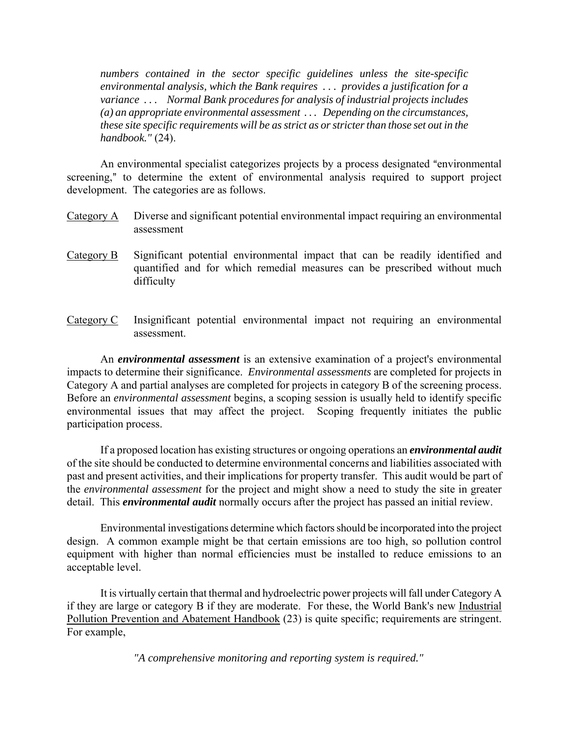*numbers contained in the sector specific guidelines unless the site-specific environmental analysis, which the Bank requires . . . provides a justification for a variance . . . Normal Bank procedures for analysis of industrial projects includes (a) an appropriate environmental assessment . . . Depending on the circumstances, these site specific requirements will be as strict as or stricter than those set out in the handbook."* (24).

An environmental specialist categorizes projects by a process designated "environmental" screening," to determine the extent of environmental analysis required to support project development. The categories are as follows.

- Category A Diverse and significant potential environmental impact requiring an environmental assessment
- Category B Significant potential environmental impact that can be readily identified and quantified and for which remedial measures can be prescribed without much difficulty
- Category C Insignificant potential environmental impact not requiring an environmental assessment.

An *environmental assessment* is an extensive examination of a project's environmental impacts to determine their significance. *Environmental assessments* are completed for projects in Category A and partial analyses are completed for projects in category B of the screening process. Before an *environmental assessment* begins, a scoping session is usually held to identify specific environmental issues that may affect the project. Scoping frequently initiates the public participation process.

If a proposed location has existing structures or ongoing operations an *environmental audit* of the site should be conducted to determine environmental concerns and liabilities associated with past and present activities, and their implications for property transfer. This audit would be part of the *environmental assessment* for the project and might show a need to study the site in greater detail. This *environmental audit* normally occurs after the project has passed an initial review.

Environmental investigations determine which factors should be incorporated into the project design. A common example might be that certain emissions are too high, so pollution control equipment with higher than normal efficiencies must be installed to reduce emissions to an acceptable level.

It is virtually certain that thermal and hydroelectric power projects will fall under Category A if they are large or category B if they are moderate. For these, the World Bank's new Industrial Pollution Prevention and Abatement Handbook (23) is quite specific; requirements are stringent. For example,

*"A comprehensive monitoring and reporting system is required."*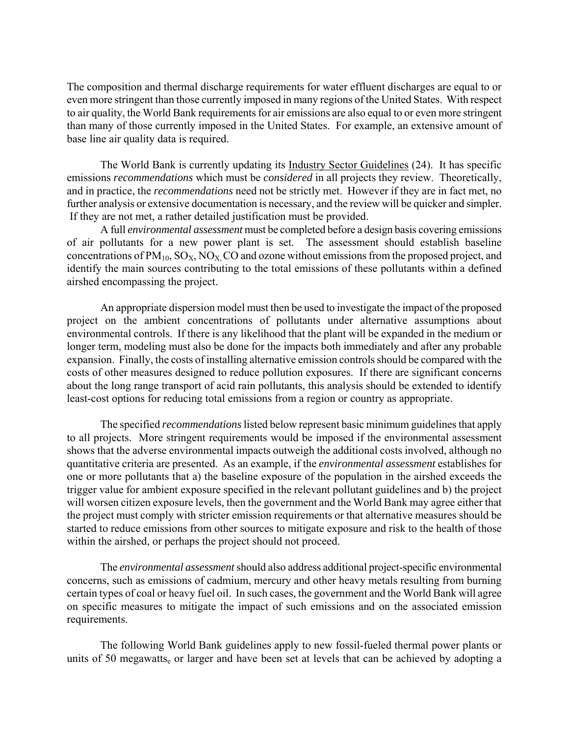The composition and thermal discharge requirements for water effluent discharges are equal to or even more stringent than those currently imposed in many regions of the United States. With respect to air quality, the World Bank requirements for air emissions are also equal to or even more stringent than many of those currently imposed in the United States. For example, an extensive amount of base line air quality data is required.

The World Bank is currently updating its Industry Sector Guidelines (24). It has specific emissions *recommendations* which must be *considered* in all projects they review. Theoretically, and in practice, the *recommendations* need not be strictly met. However if they are in fact met, no further analysis or extensive documentation is necessary, and the review will be quicker and simpler. If they are not met, a rather detailed justification must be provided.

A full *environmental assessment* must be completed before a design basis covering emissions of air pollutants for a new power plant is set. The assessment should establish baseline concentrations of  $PM_{10}$ ,  $SO_X$ ,  $NO_X$ ,  $CO$  and ozone without emissions from the proposed project, and identify the main sources contributing to the total emissions of these pollutants within a defined airshed encompassing the project.

An appropriate dispersion model must then be used to investigate the impact of the proposed project on the ambient concentrations of pollutants under alternative assumptions about environmental controls. If there is any likelihood that the plant will be expanded in the medium or longer term, modeling must also be done for the impacts both immediately and after any probable expansion. Finally, the costs of installing alternative emission controls should be compared with the costs of other measures designed to reduce pollution exposures. If there are significant concerns about the long range transport of acid rain pollutants, this analysis should be extended to identify least-cost options for reducing total emissions from a region or country as appropriate.

The specified *recommendations* listed below represent basic minimum guidelines that apply to all projects. More stringent requirements would be imposed if the environmental assessment shows that the adverse environmental impacts outweigh the additional costs involved, although no quantitative criteria are presented. As an example, if the *environmental assessment* establishes for one or more pollutants that a) the baseline exposure of the population in the airshed exceeds the trigger value for ambient exposure specified in the relevant pollutant guidelines and b) the project will worsen citizen exposure levels, then the government and the World Bank may agree either that the project must comply with stricter emission requirements or that alternative measures should be started to reduce emissions from other sources to mitigate exposure and risk to the health of those within the airshed, or perhaps the project should not proceed.

The *environmental assessment* should also address additional project-specific environmental concerns, such as emissions of cadmium, mercury and other heavy metals resulting from burning certain types of coal or heavy fuel oil. In such cases, the government and the World Bank will agree on specific measures to mitigate the impact of such emissions and on the associated emission requirements.

The following World Bank guidelines apply to new fossil-fueled thermal power plants or units of 50 megawatts<sub>e</sub> or larger and have been set at levels that can be achieved by adopting a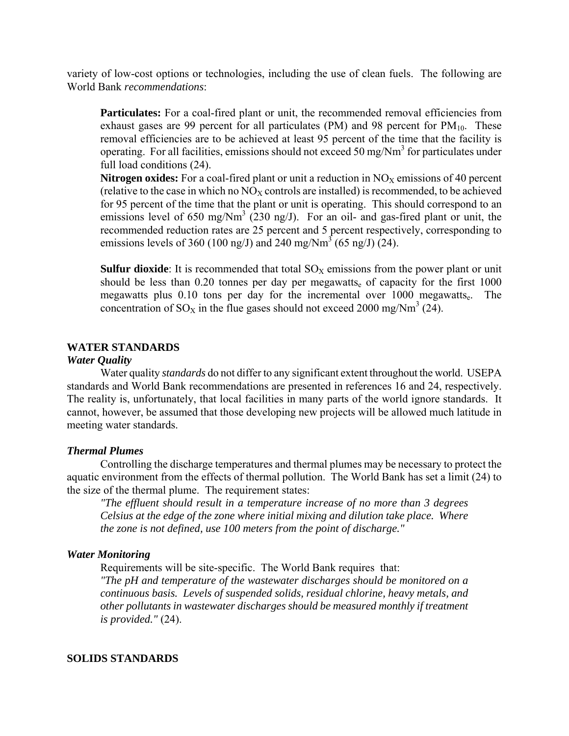variety of low-cost options or technologies, including the use of clean fuels. The following are World Bank *recommendations*:

**Particulates:** For a coal-fired plant or unit, the recommended removal efficiencies from exhaust gases are 99 percent for all particulates (PM) and 98 percent for  $PM_{10}$ . These removal efficiencies are to be achieved at least 95 percent of the time that the facility is operating. For all facilities, emissions should not exceed 50 mg/Nm<sup>3</sup> for particulates under full load conditions (24).

**Nitrogen oxides:** For a coal-fired plant or unit a reduction in  $NO<sub>X</sub>$  emissions of 40 percent (relative to the case in which no  $N\text{O}_X$  controls are installed) is recommended, to be achieved for 95 percent of the time that the plant or unit is operating. This should correspond to an emissions level of 650 mg/Nm<sup>3</sup> (230 ng/J). For an oil- and gas-fired plant or unit, the recommended reduction rates are 25 percent and 5 percent respectively, corresponding to emissions levels of 360 (100 ng/J) and 240 mg/Nm<sup>3</sup> (65 ng/J) (24).

**Sulfur dioxide**: It is recommended that total  $SO<sub>x</sub>$  emissions from the power plant or unit should be less than 0.20 tonnes per day per megawatts<sub>e</sub> of capacity for the first 1000 megawatts plus  $0.10$  tons per day for the incremental over  $1000$  megawatts. The concentration of SO<sub>X</sub> in the flue gases should not exceed 2000 mg/Nm<sup>3</sup> (24).

## **WATER STANDARDS**

#### *Water Quality*

Water quality *standards* do not differ to any significant extent throughout the world. USEPA standards and World Bank recommendations are presented in references 16 and 24, respectively. The reality is, unfortunately, that local facilities in many parts of the world ignore standards. It cannot, however, be assumed that those developing new projects will be allowed much latitude in meeting water standards.

## *Thermal Plumes*

Controlling the discharge temperatures and thermal plumes may be necessary to protect the aquatic environment from the effects of thermal pollution. The World Bank has set a limit (24) to the size of the thermal plume. The requirement states:

*"The effluent should result in a temperature increase of no more than 3 degrees Celsius at the edge of the zone where initial mixing and dilution take place. Where the zone is not defined, use 100 meters from the point of discharge."*

#### *Water Monitoring*

Requirements will be site-specific. The World Bank requires that:

*"The pH and temperature of the wastewater discharges should be monitored on a continuous basis. Levels of suspended solids, residual chlorine, heavy metals, and other pollutants in wastewater discharges should be measured monthly if treatment is provided."* (24).

#### **SOLIDS STANDARDS**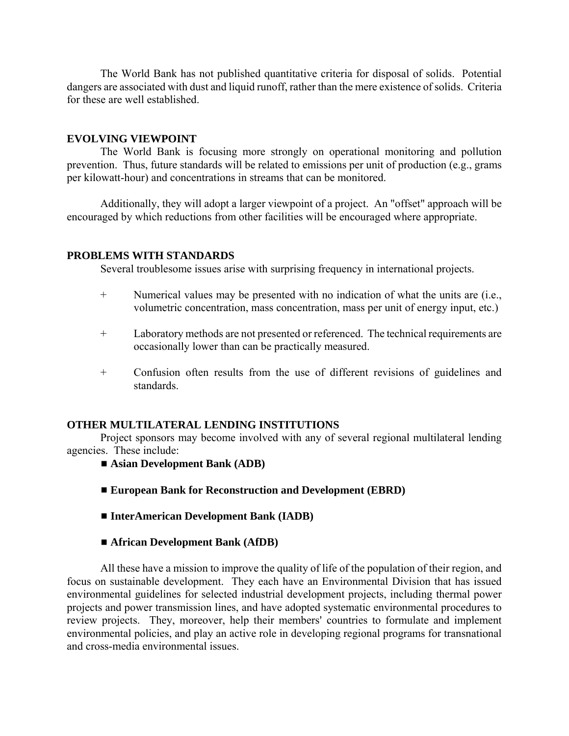The World Bank has not published quantitative criteria for disposal of solids. Potential dangers are associated with dust and liquid runoff, rather than the mere existence of solids. Criteria for these are well established.

### **EVOLVING VIEWPOINT**

The World Bank is focusing more strongly on operational monitoring and pollution prevention. Thus, future standards will be related to emissions per unit of production (e.g., grams per kilowatt-hour) and concentrations in streams that can be monitored.

Additionally, they will adopt a larger viewpoint of a project. An "offset" approach will be encouraged by which reductions from other facilities will be encouraged where appropriate.

### **PROBLEMS WITH STANDARDS**

Several troublesome issues arise with surprising frequency in international projects.

- + Numerical values may be presented with no indication of what the units are (i.e., volumetric concentration, mass concentration, mass per unit of energy input, etc.)
- + Laboratory methods are not presented or referenced. The technical requirements are occasionally lower than can be practically measured.
- + Confusion often results from the use of different revisions of guidelines and standards.

#### **OTHER MULTILATERAL LENDING INSTITUTIONS**

Project sponsors may become involved with any of several regional multilateral lending agencies. These include:

- $\blacksquare$  Asian Development Bank (ADB)
- European Bank for Reconstruction and Development (EBRD)
- **InterAmerican Development Bank (IADB)**
- African Development Bank (AfDB)

All these have a mission to improve the quality of life of the population of their region, and focus on sustainable development. They each have an Environmental Division that has issued environmental guidelines for selected industrial development projects, including thermal power projects and power transmission lines, and have adopted systematic environmental procedures to review projects. They, moreover, help their members' countries to formulate and implement environmental policies, and play an active role in developing regional programs for transnational and cross-media environmental issues.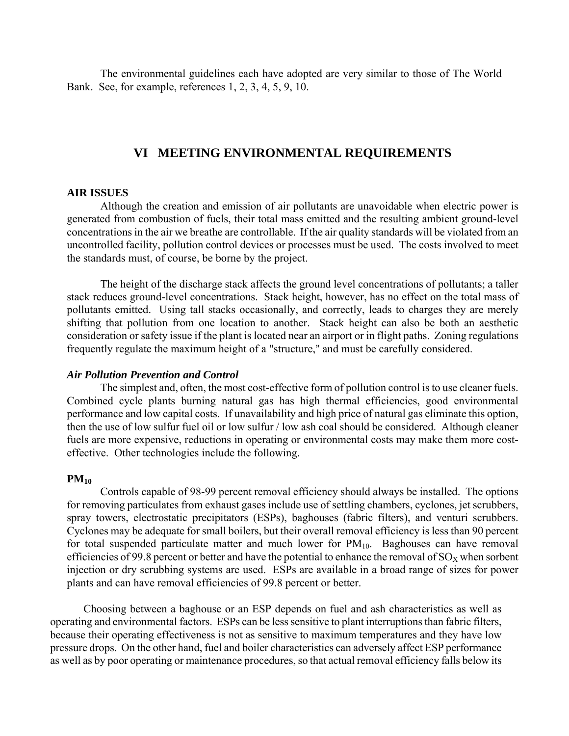The environmental guidelines each have adopted are very similar to those of The World Bank. See, for example, references 1, 2, 3, 4, 5, 9, 10.

# **VI MEETING ENVIRONMENTAL REQUIREMENTS**

#### **AIR ISSUES**

Although the creation and emission of air pollutants are unavoidable when electric power is generated from combustion of fuels, their total mass emitted and the resulting ambient ground-level concentrations in the air we breathe are controllable. If the air quality standards will be violated from an uncontrolled facility, pollution control devices or processes must be used. The costs involved to meet the standards must, of course, be borne by the project.

The height of the discharge stack affects the ground level concentrations of pollutants; a taller stack reduces ground-level concentrations. Stack height, however, has no effect on the total mass of pollutants emitted. Using tall stacks occasionally, and correctly, leads to charges they are merely shifting that pollution from one location to another. Stack height can also be both an aesthetic consideration or safety issue if the plant is located near an airport or in flight paths. Zoning regulations frequently regulate the maximum height of a "structure," and must be carefully considered.

#### *Air Pollution Prevention and Control*

The simplest and, often, the most cost-effective form of pollution control is to use cleaner fuels. Combined cycle plants burning natural gas has high thermal efficiencies, good environmental performance and low capital costs. If unavailability and high price of natural gas eliminate this option, then the use of low sulfur fuel oil or low sulfur / low ash coal should be considered. Although cleaner fuels are more expensive, reductions in operating or environmental costs may make them more costeffective. Other technologies include the following.

#### **PM10**

Controls capable of 98-99 percent removal efficiency should always be installed. The options for removing particulates from exhaust gases include use of settling chambers, cyclones, jet scrubbers, spray towers, electrostatic precipitators (ESPs), baghouses (fabric filters), and venturi scrubbers. Cyclones may be adequate for small boilers, but their overall removal efficiency is less than 90 percent for total suspended particulate matter and much lower for  $PM_{10}$ . Baghouses can have removal efficiencies of 99.8 percent or better and have the potential to enhance the removal of  $\rm SO_{X}$  when sorbent injection or dry scrubbing systems are used. ESPs are available in a broad range of sizes for power plants and can have removal efficiencies of 99.8 percent or better.

Choosing between a baghouse or an ESP depends on fuel and ash characteristics as well as operating and environmental factors. ESPs can be less sensitive to plant interruptions than fabric filters, because their operating effectiveness is not as sensitive to maximum temperatures and they have low pressure drops. On the other hand, fuel and boiler characteristics can adversely affect ESP performance as well as by poor operating or maintenance procedures, so that actual removal efficiency falls below its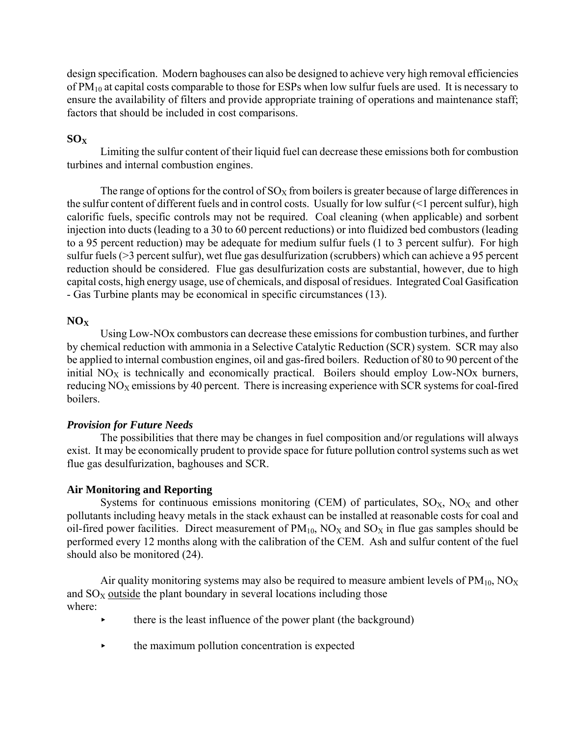design specification. Modern baghouses can also be designed to achieve very high removal efficiencies of  $PM_{10}$  at capital costs comparable to those for ESPs when low sulfur fuels are used. It is necessary to ensure the availability of filters and provide appropriate training of operations and maintenance staff; factors that should be included in cost comparisons.

# **SOX**

Limiting the sulfur content of their liquid fuel can decrease these emissions both for combustion turbines and internal combustion engines.

The range of options for the control of  $SO<sub>X</sub>$  from boilers is greater because of large differences in the sulfur content of different fuels and in control costs. Usually for low sulfur (<1 percent sulfur), high calorific fuels, specific controls may not be required. Coal cleaning (when applicable) and sorbent injection into ducts (leading to a 30 to 60 percent reductions) or into fluidized bed combustors (leading to a 95 percent reduction) may be adequate for medium sulfur fuels (1 to 3 percent sulfur). For high sulfur fuels (>3 percent sulfur), wet flue gas desulfurization (scrubbers) which can achieve a 95 percent reduction should be considered. Flue gas desulfurization costs are substantial, however, due to high capital costs, high energy usage, use of chemicals, and disposal of residues. Integrated Coal Gasification - Gas Turbine plants may be economical in specific circumstances (13).

# **NOX**

Using Low-NOx combustors can decrease these emissions for combustion turbines, and further by chemical reduction with ammonia in a Selective Catalytic Reduction (SCR) system. SCR may also be applied to internal combustion engines, oil and gas-fired boilers. Reduction of 80 to 90 percent of the initial  $NO<sub>X</sub>$  is technically and economically practical. Boilers should employ Low-NOx burners, reducing  $NO<sub>X</sub>$  emissions by 40 percent. There is increasing experience with SCR systems for coal-fired boilers.

# *Provision for Future Needs*

The possibilities that there may be changes in fuel composition and/or regulations will always exist. It may be economically prudent to provide space for future pollution control systems such as wet flue gas desulfurization, baghouses and SCR.

## **Air Monitoring and Reporting**

Systems for continuous emissions monitoring (CEM) of particulates,  $SO<sub>X</sub>$ ,  $NO<sub>X</sub>$  and other pollutants including heavy metals in the stack exhaust can be installed at reasonable costs for coal and oil-fired power facilities. Direct measurement of  $PM_{10}$ ,  $NO<sub>X</sub>$  and  $SO<sub>X</sub>$  in flue gas samples should be performed every 12 months along with the calibration of the CEM. Ash and sulfur content of the fuel should also be monitored (24).

Air quality monitoring systems may also be required to measure ambient levels of  $PM_{10}$ ,  $NO<sub>X</sub>$ and  $SO<sub>X</sub>$  outside the plant boundary in several locations including those where:

- < there is the least influence of the power plant (the background)
- $\rightarrow$  the maximum pollution concentration is expected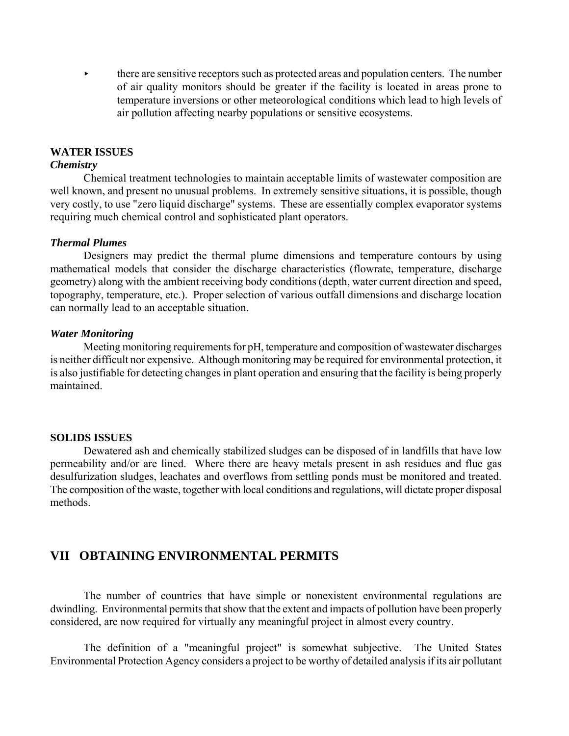$\blacktriangleright$  there are sensitive receptors such as protected areas and population centers. The number of air quality monitors should be greater if the facility is located in areas prone to temperature inversions or other meteorological conditions which lead to high levels of air pollution affecting nearby populations or sensitive ecosystems.

#### **WATER ISSUES**

## *Chemistry*

Chemical treatment technologies to maintain acceptable limits of wastewater composition are well known, and present no unusual problems. In extremely sensitive situations, it is possible, though very costly, to use "zero liquid discharge" systems. These are essentially complex evaporator systems requiring much chemical control and sophisticated plant operators.

#### *Thermal Plumes*

Designers may predict the thermal plume dimensions and temperature contours by using mathematical models that consider the discharge characteristics (flowrate, temperature, discharge geometry) along with the ambient receiving body conditions (depth, water current direction and speed, topography, temperature, etc.). Proper selection of various outfall dimensions and discharge location can normally lead to an acceptable situation.

#### *Water Monitoring*

Meeting monitoring requirements for pH, temperature and composition of wastewater discharges is neither difficult nor expensive. Although monitoring may be required for environmental protection, it is also justifiable for detecting changes in plant operation and ensuring that the facility is being properly maintained.

#### **SOLIDS ISSUES**

Dewatered ash and chemically stabilized sludges can be disposed of in landfills that have low permeability and/or are lined. Where there are heavy metals present in ash residues and flue gas desulfurization sludges, leachates and overflows from settling ponds must be monitored and treated. The composition of the waste, together with local conditions and regulations, will dictate proper disposal methods.

# **VII OBTAINING ENVIRONMENTAL PERMITS**

The number of countries that have simple or nonexistent environmental regulations are dwindling. Environmental permits that show that the extent and impacts of pollution have been properly considered, are now required for virtually any meaningful project in almost every country.

The definition of a "meaningful project" is somewhat subjective. The United States Environmental Protection Agency considers a project to be worthy of detailed analysis if its air pollutant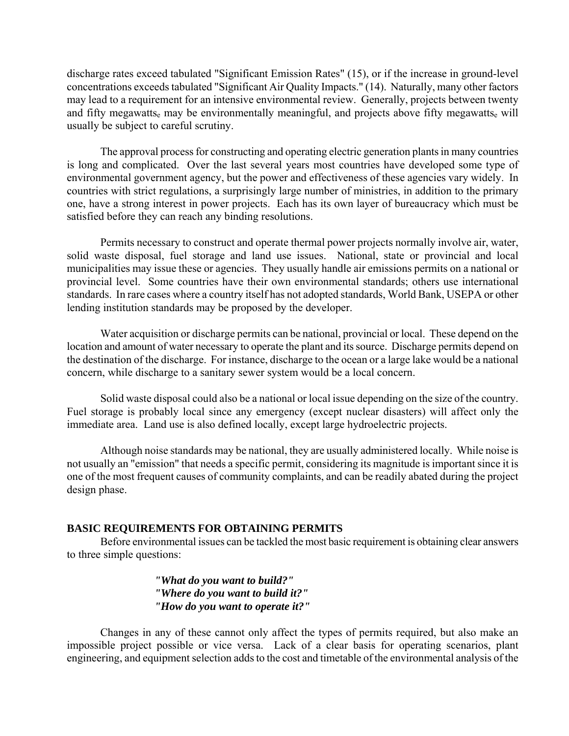discharge rates exceed tabulated "Significant Emission Rates" (15), or if the increase in ground-level concentrations exceeds tabulated "Significant Air Quality Impacts." (14). Naturally, many other factors may lead to a requirement for an intensive environmental review. Generally, projects between twenty and fifty megawatts<sub>e</sub> may be environmentally meaningful, and projects above fifty megawatts<sub>e</sub> will usually be subject to careful scrutiny.

The approval process for constructing and operating electric generation plants in many countries is long and complicated. Over the last several years most countries have developed some type of environmental government agency, but the power and effectiveness of these agencies vary widely. In countries with strict regulations, a surprisingly large number of ministries, in addition to the primary one, have a strong interest in power projects. Each has its own layer of bureaucracy which must be satisfied before they can reach any binding resolutions.

Permits necessary to construct and operate thermal power projects normally involve air, water, solid waste disposal, fuel storage and land use issues. National, state or provincial and local municipalities may issue these or agencies. They usually handle air emissions permits on a national or provincial level. Some countries have their own environmental standards; others use international standards. In rare cases where a country itself has not adopted standards, World Bank, USEPA or other lending institution standards may be proposed by the developer.

Water acquisition or discharge permits can be national, provincial or local. These depend on the location and amount of water necessary to operate the plant and its source. Discharge permits depend on the destination of the discharge. For instance, discharge to the ocean or a large lake would be a national concern, while discharge to a sanitary sewer system would be a local concern.

Solid waste disposal could also be a national or local issue depending on the size of the country. Fuel storage is probably local since any emergency (except nuclear disasters) will affect only the immediate area. Land use is also defined locally, except large hydroelectric projects.

Although noise standards may be national, they are usually administered locally. While noise is not usually an "emission" that needs a specific permit, considering its magnitude is important since it is one of the most frequent causes of community complaints, and can be readily abated during the project design phase.

## **BASIC REQUIREMENTS FOR OBTAINING PERMITS**

Before environmental issues can be tackled the most basic requirement is obtaining clear answers to three simple questions:

> *"What do you want to build?" "Where do you want to build it?" "How do you want to operate it?"*

Changes in any of these cannot only affect the types of permits required, but also make an impossible project possible or vice versa. Lack of a clear basis for operating scenarios, plant engineering, and equipment selection adds to the cost and timetable of the environmental analysis of the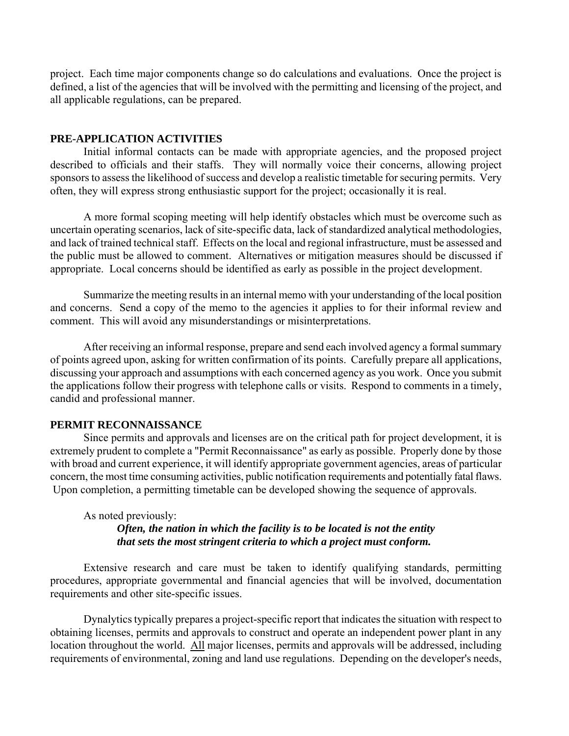project. Each time major components change so do calculations and evaluations. Once the project is defined, a list of the agencies that will be involved with the permitting and licensing of the project, and all applicable regulations, can be prepared.

### **PRE-APPLICATION ACTIVITIES**

Initial informal contacts can be made with appropriate agencies, and the proposed project described to officials and their staffs. They will normally voice their concerns, allowing project sponsors to assess the likelihood of success and develop a realistic timetable for securing permits. Very often, they will express strong enthusiastic support for the project; occasionally it is real.

A more formal scoping meeting will help identify obstacles which must be overcome such as uncertain operating scenarios, lack of site-specific data, lack of standardized analytical methodologies, and lack of trained technical staff. Effects on the local and regional infrastructure, must be assessed and the public must be allowed to comment. Alternatives or mitigation measures should be discussed if appropriate. Local concerns should be identified as early as possible in the project development.

Summarize the meeting results in an internal memo with your understanding of the local position and concerns. Send a copy of the memo to the agencies it applies to for their informal review and comment. This will avoid any misunderstandings or misinterpretations.

After receiving an informal response, prepare and send each involved agency a formal summary of points agreed upon, asking for written confirmation of its points. Carefully prepare all applications, discussing your approach and assumptions with each concerned agency as you work. Once you submit the applications follow their progress with telephone calls or visits. Respond to comments in a timely, candid and professional manner.

### **PERMIT RECONNAISSANCE**

Since permits and approvals and licenses are on the critical path for project development, it is extremely prudent to complete a "Permit Reconnaissance" as early as possible. Properly done by those with broad and current experience, it will identify appropriate government agencies, areas of particular concern, the most time consuming activities, public notification requirements and potentially fatal flaws. Upon completion, a permitting timetable can be developed showing the sequence of approvals.

### As noted previously: *Often, the nation in which the facility is to be located is not the entity that sets the most stringent criteria to which a project must conform.*

Extensive research and care must be taken to identify qualifying standards, permitting procedures, appropriate governmental and financial agencies that will be involved, documentation requirements and other site-specific issues.

Dynalytics typically prepares a project-specific report that indicates the situation with respect to obtaining licenses, permits and approvals to construct and operate an independent power plant in any location throughout the world. All major licenses, permits and approvals will be addressed, including requirements of environmental, zoning and land use regulations. Depending on the developer's needs,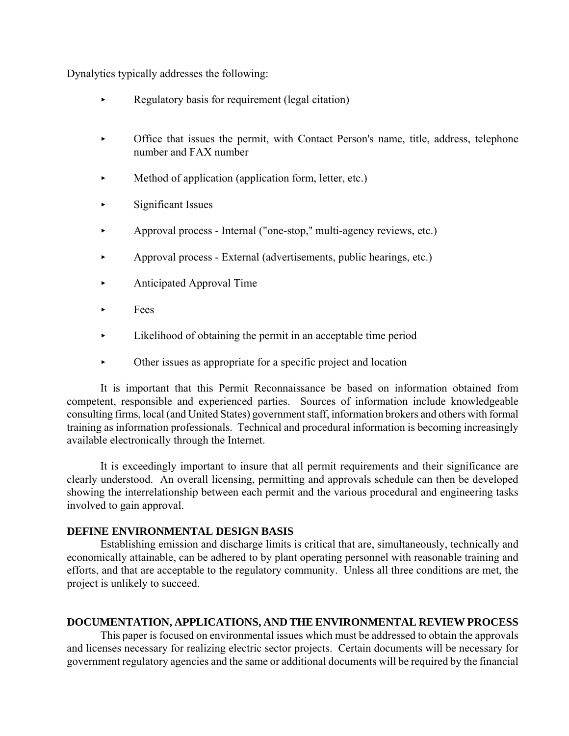Dynalytics typically addresses the following:

- Regulatory basis for requirement (legal citation)
- < Office that issues the permit, with Contact Person's name, title, address, telephone number and FAX number
- $\blacktriangleright$  Method of application (application form, letter, etc.)
- $\blacktriangleright$  Significant Issues
- Approval process Internal ("one-stop," multi-agency reviews, etc.)
- < Approval process External (advertisements, public hearings, etc.)
- **Exercise Anticipated Approval Time**
- $\blacktriangleright$  Fees
- < Likelihood of obtaining the permit in an acceptable time period
- < Other issues as appropriate for a specific project and location

It is important that this Permit Reconnaissance be based on information obtained from competent, responsible and experienced parties. Sources of information include knowledgeable consulting firms, local (and United States) government staff, information brokers and others with formal training as information professionals. Technical and procedural information is becoming increasingly available electronically through the Internet.

It is exceedingly important to insure that all permit requirements and their significance are clearly understood. An overall licensing, permitting and approvals schedule can then be developed showing the interrelationship between each permit and the various procedural and engineering tasks involved to gain approval.

## **DEFINE ENVIRONMENTAL DESIGN BASIS**

Establishing emission and discharge limits is critical that are, simultaneously, technically and economically attainable, can be adhered to by plant operating personnel with reasonable training and efforts, and that are acceptable to the regulatory community. Unless all three conditions are met, the project is unlikely to succeed.

# **DOCUMENTATION, APPLICATIONS, AND THE ENVIRONMENTAL REVIEW PROCESS**

This paper is focused on environmental issues which must be addressed to obtain the approvals and licenses necessary for realizing electric sector projects. Certain documents will be necessary for government regulatory agencies and the same or additional documents will be required by the financial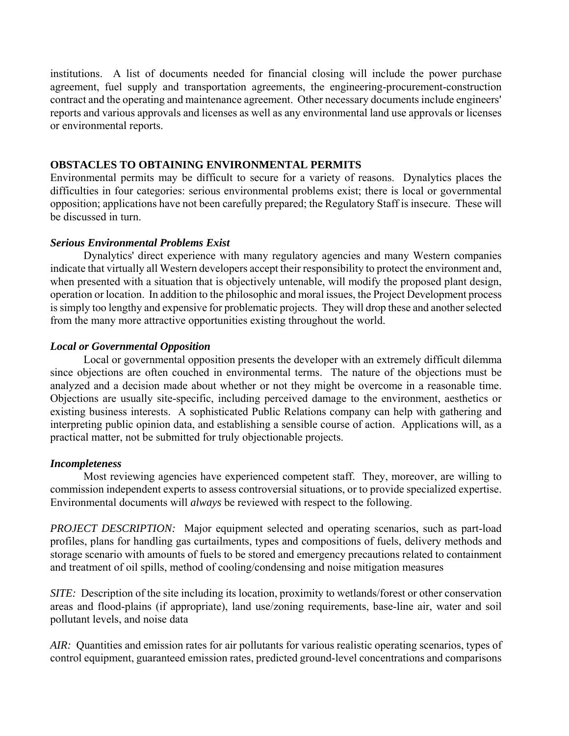institutions. A list of documents needed for financial closing will include the power purchase agreement, fuel supply and transportation agreements, the engineering-procurement-construction contract and the operating and maintenance agreement. Other necessary documents include engineers' reports and various approvals and licenses as well as any environmental land use approvals or licenses or environmental reports.

### **OBSTACLES TO OBTAINING ENVIRONMENTAL PERMITS**

Environmental permits may be difficult to secure for a variety of reasons. Dynalytics places the difficulties in four categories: serious environmental problems exist; there is local or governmental opposition; applications have not been carefully prepared; the Regulatory Staff is insecure. These will be discussed in turn.

### *Serious Environmental Problems Exist*

Dynalytics' direct experience with many regulatory agencies and many Western companies indicate that virtually all Western developers accept their responsibility to protect the environment and, when presented with a situation that is objectively untenable, will modify the proposed plant design, operation or location. In addition to the philosophic and moral issues, the Project Development process is simply too lengthy and expensive for problematic projects. They will drop these and another selected from the many more attractive opportunities existing throughout the world.

## *Local or Governmental Opposition*

Local or governmental opposition presents the developer with an extremely difficult dilemma since objections are often couched in environmental terms. The nature of the objections must be analyzed and a decision made about whether or not they might be overcome in a reasonable time. Objections are usually site-specific, including perceived damage to the environment, aesthetics or existing business interests. A sophisticated Public Relations company can help with gathering and interpreting public opinion data, and establishing a sensible course of action. Applications will, as a practical matter, not be submitted for truly objectionable projects.

#### *Incompleteness*

Most reviewing agencies have experienced competent staff. They, moreover, are willing to commission independent experts to assess controversial situations, or to provide specialized expertise. Environmental documents will *always* be reviewed with respect to the following.

*PROJECT DESCRIPTION:* Major equipment selected and operating scenarios, such as part-load profiles, plans for handling gas curtailments, types and compositions of fuels, delivery methods and storage scenario with amounts of fuels to be stored and emergency precautions related to containment and treatment of oil spills, method of cooling/condensing and noise mitigation measures

*SITE:* Description of the site including its location, proximity to wetlands/forest or other conservation areas and flood-plains (if appropriate), land use/zoning requirements, base-line air, water and soil pollutant levels, and noise data

*AIR:* Quantities and emission rates for air pollutants for various realistic operating scenarios, types of control equipment, guaranteed emission rates, predicted ground-level concentrations and comparisons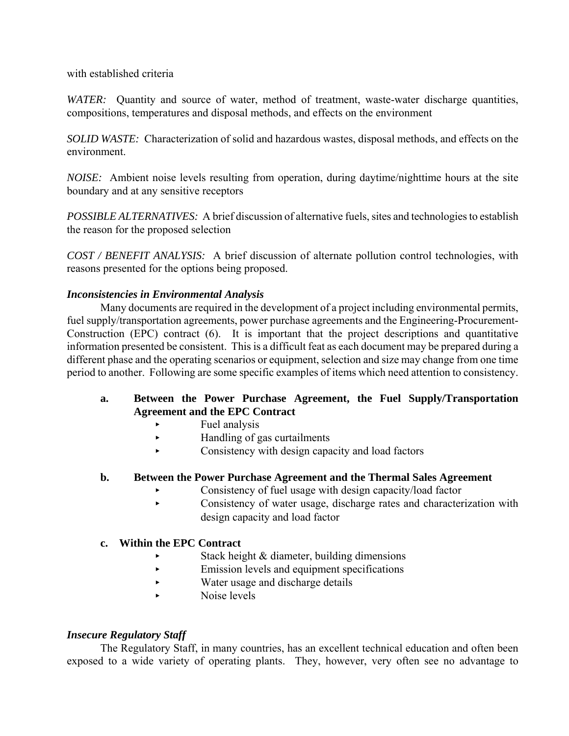with established criteria

*WATER:* Quantity and source of water, method of treatment, waste-water discharge quantities, compositions, temperatures and disposal methods, and effects on the environment

*SOLID WASTE:* Characterization of solid and hazardous wastes, disposal methods, and effects on the environment.

*NOISE:* Ambient noise levels resulting from operation, during daytime/nighttime hours at the site boundary and at any sensitive receptors

*POSSIBLE ALTERNATIVES:* A brief discussion of alternative fuels, sites and technologies to establish the reason for the proposed selection

*COST / BENEFIT ANALYSIS:* A brief discussion of alternate pollution control technologies, with reasons presented for the options being proposed.

# *Inconsistencies in Environmental Analysis*

Many documents are required in the development of a project including environmental permits, fuel supply/transportation agreements, power purchase agreements and the Engineering-Procurement-Construction (EPC) contract (6). It is important that the project descriptions and quantitative information presented be consistent. This is a difficult feat as each document may be prepared during a different phase and the operating scenarios or equipment, selection and size may change from one time period to another. Following are some specific examples of items which need attention to consistency.

# **a. Between the Power Purchase Agreement, the Fuel Supply/Transportation Agreement and the EPC Contract**

- < Fuel analysis
- < Handling of gas curtailments
- Consistency with design capacity and load factors

# **b. Between the Power Purchase Agreement and the Thermal Sales Agreement**

- < Consistency of fuel usage with design capacity/load factor
- < Consistency of water usage, discharge rates and characterization with design capacity and load factor

# **c. Within the EPC Contract**

- Stack height  $&$  diameter, building dimensions
- < Emission levels and equipment specifications
- < Water usage and discharge details
- $\triangleright$  Noise levels

# *Insecure Regulatory Staff*

The Regulatory Staff, in many countries, has an excellent technical education and often been exposed to a wide variety of operating plants. They, however, very often see no advantage to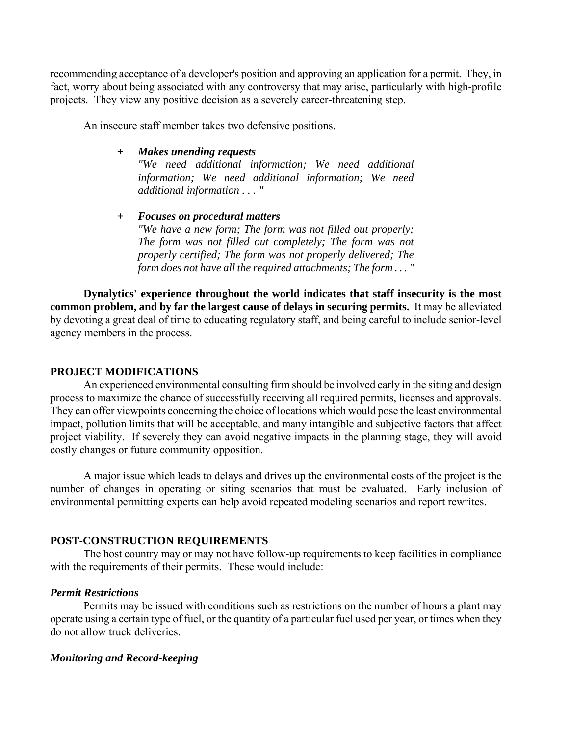recommending acceptance of a developer's position and approving an application for a permit. They, in fact, worry about being associated with any controversy that may arise, particularly with high-profile projects. They view any positive decision as a severely career-threatening step.

An insecure staff member takes two defensive positions.

- *+ Makes unending requests "We need additional information; We need additional information; We need additional information; We need additional information . . . "*
- *+ Focuses on procedural matters "We have a new form; The form was not filled out properly; The form was not filled out completely; The form was not properly certified; The form was not properly delivered; The form does not have all the required attachments; The form . . . "*

**Dynalytics' experience throughout the world indicates that staff insecurity is the most common problem, and by far the largest cause of delays in securing permits.** It may be alleviated by devoting a great deal of time to educating regulatory staff, and being careful to include senior-level agency members in the process.

#### **PROJECT MODIFICATIONS**

An experienced environmental consulting firm should be involved early in the siting and design process to maximize the chance of successfully receiving all required permits, licenses and approvals. They can offer viewpoints concerning the choice of locations which would pose the least environmental impact, pollution limits that will be acceptable, and many intangible and subjective factors that affect project viability. If severely they can avoid negative impacts in the planning stage, they will avoid costly changes or future community opposition.

A major issue which leads to delays and drives up the environmental costs of the project is the number of changes in operating or siting scenarios that must be evaluated. Early inclusion of environmental permitting experts can help avoid repeated modeling scenarios and report rewrites.

#### **POST-CONSTRUCTION REQUIREMENTS**

The host country may or may not have follow-up requirements to keep facilities in compliance with the requirements of their permits. These would include:

## *Permit Restrictions*

Permits may be issued with conditions such as restrictions on the number of hours a plant may operate using a certain type of fuel, or the quantity of a particular fuel used per year, or times when they do not allow truck deliveries.

#### *Monitoring and Record-keeping*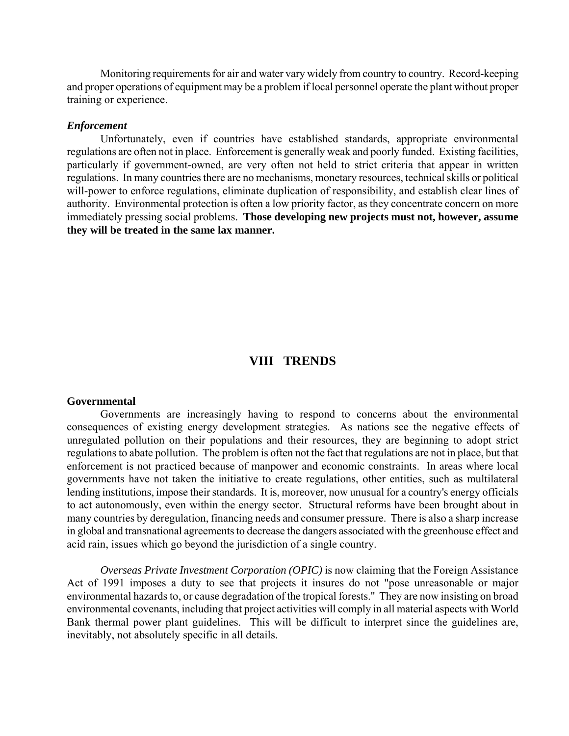Monitoring requirements for air and water vary widely from country to country. Record-keeping and proper operations of equipment may be a problem if local personnel operate the plant without proper training or experience.

#### *Enforcement*

Unfortunately, even if countries have established standards, appropriate environmental regulations are often not in place. Enforcement is generally weak and poorly funded. Existing facilities, particularly if government-owned, are very often not held to strict criteria that appear in written regulations. In many countries there are no mechanisms, monetary resources, technical skills or political will-power to enforce regulations, eliminate duplication of responsibility, and establish clear lines of authority. Environmental protection is often a low priority factor, as they concentrate concern on more immediately pressing social problems. **Those developing new projects must not, however, assume they will be treated in the same lax manner.**

# **VIII TRENDS**

#### **Governmental**

Governments are increasingly having to respond to concerns about the environmental consequences of existing energy development strategies. As nations see the negative effects of unregulated pollution on their populations and their resources, they are beginning to adopt strict regulations to abate pollution. The problem is often not the fact that regulations are not in place, but that enforcement is not practiced because of manpower and economic constraints. In areas where local governments have not taken the initiative to create regulations, other entities, such as multilateral lending institutions, impose their standards. It is, moreover, now unusual for a country's energy officials to act autonomously, even within the energy sector. Structural reforms have been brought about in many countries by deregulation, financing needs and consumer pressure. There is also a sharp increase in global and transnational agreements to decrease the dangers associated with the greenhouse effect and acid rain, issues which go beyond the jurisdiction of a single country.

*Overseas Private Investment Corporation (OPIC)* is now claiming that the Foreign Assistance Act of 1991 imposes a duty to see that projects it insures do not "pose unreasonable or major environmental hazards to, or cause degradation of the tropical forests." They are now insisting on broad environmental covenants, including that project activities will comply in all material aspects with World Bank thermal power plant guidelines. This will be difficult to interpret since the guidelines are, inevitably, not absolutely specific in all details.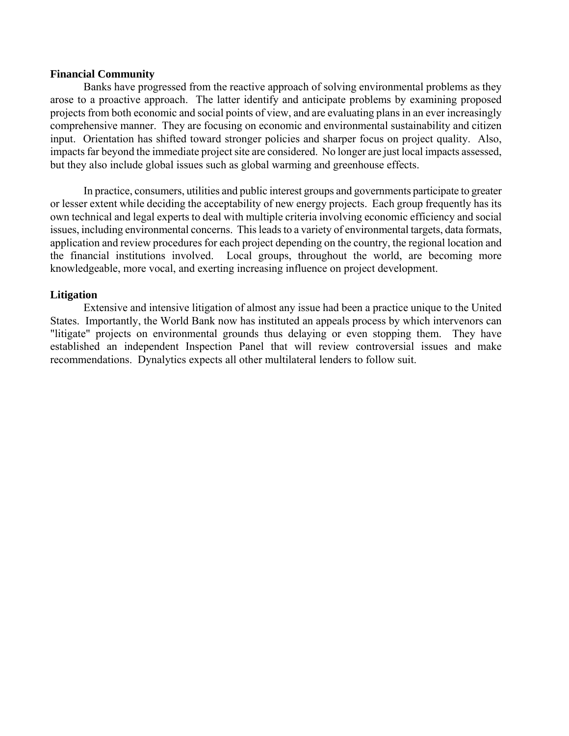#### **Financial Community**

Banks have progressed from the reactive approach of solving environmental problems as they arose to a proactive approach. The latter identify and anticipate problems by examining proposed projects from both economic and social points of view, and are evaluating plans in an ever increasingly comprehensive manner. They are focusing on economic and environmental sustainability and citizen input. Orientation has shifted toward stronger policies and sharper focus on project quality. Also, impacts far beyond the immediate project site are considered. No longer are just local impacts assessed, but they also include global issues such as global warming and greenhouse effects.

In practice, consumers, utilities and public interest groups and governments participate to greater or lesser extent while deciding the acceptability of new energy projects. Each group frequently has its own technical and legal experts to deal with multiple criteria involving economic efficiency and social issues, including environmental concerns. This leads to a variety of environmental targets, data formats, application and review procedures for each project depending on the country, the regional location and the financial institutions involved. Local groups, throughout the world, are becoming more knowledgeable, more vocal, and exerting increasing influence on project development.

## **Litigation**

Extensive and intensive litigation of almost any issue had been a practice unique to the United States. Importantly, the World Bank now has instituted an appeals process by which intervenors can "litigate" projects on environmental grounds thus delaying or even stopping them. They have established an independent Inspection Panel that will review controversial issues and make recommendations. Dynalytics expects all other multilateral lenders to follow suit.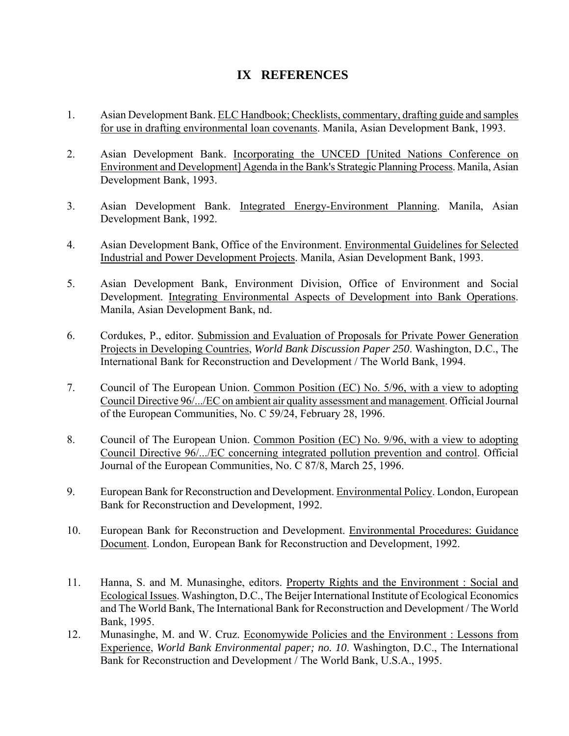# **IX REFERENCES**

- 1. Asian Development Bank. ELC Handbook; Checklists, commentary, drafting guide and samples for use in drafting environmental loan covenants. Manila, Asian Development Bank, 1993.
- 2. Asian Development Bank. Incorporating the UNCED [United Nations Conference on Environment and Development] Agenda in the Bank's Strategic Planning Process. Manila, Asian Development Bank, 1993.
- 3. Asian Development Bank. Integrated Energy-Environment Planning. Manila, Asian Development Bank, 1992.
- 4. Asian Development Bank, Office of the Environment. Environmental Guidelines for Selected Industrial and Power Development Projects. Manila, Asian Development Bank, 1993.
- 5. Asian Development Bank, Environment Division, Office of Environment and Social Development. Integrating Environmental Aspects of Development into Bank Operations. Manila, Asian Development Bank, nd.
- 6. Cordukes, P., editor. Submission and Evaluation of Proposals for Private Power Generation Projects in Developing Countries, *World Bank Discussion Paper 250*. Washington, D.C., The International Bank for Reconstruction and Development / The World Bank, 1994.
- 7. Council of The European Union. Common Position (EC) No. 5/96, with a view to adopting Council Directive 96/.../EC on ambient air quality assessment and management. Official Journal of the European Communities, No. C 59/24, February 28, 1996.
- 8. Council of The European Union. Common Position (EC) No. 9/96, with a view to adopting Council Directive 96/.../EC concerning integrated pollution prevention and control. Official Journal of the European Communities, No. C 87/8, March 25, 1996.
- 9. European Bank for Reconstruction and Development. Environmental Policy. London, European Bank for Reconstruction and Development, 1992.
- 10. European Bank for Reconstruction and Development. Environmental Procedures: Guidance Document. London, European Bank for Reconstruction and Development, 1992.
- 11. Hanna, S. and M. Munasinghe, editors. Property Rights and the Environment : Social and Ecological Issues. Washington, D.C., The Beijer International Institute of Ecological Economics and The World Bank, The International Bank for Reconstruction and Development / The World Bank, 1995.
- 12. Munasinghe, M. and W. Cruz. Economywide Policies and the Environment : Lessons from Experience, *World Bank Environmental paper; no. 10*. Washington, D.C., The International Bank for Reconstruction and Development / The World Bank, U.S.A., 1995.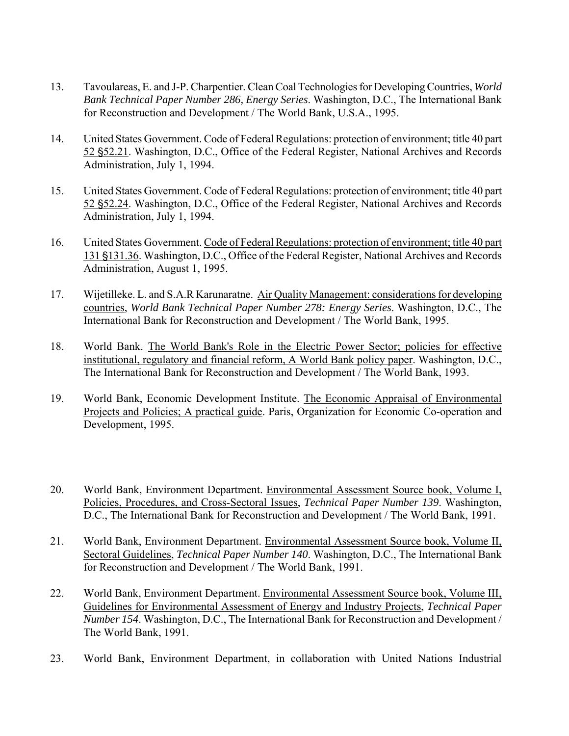- 13. Tavoulareas, E. and J-P. Charpentier. Clean Coal Technologies for Developing Countries, *World Bank Technical Paper Number 286, Energy Series*. Washington, D.C., The International Bank for Reconstruction and Development / The World Bank, U.S.A., 1995.
- 14. United States Government. Code of Federal Regulations: protection of environment; title 40 part 52 \$52.21. Washington, D.C., Office of the Federal Register, National Archives and Records Administration, July 1, 1994.
- 15. United States Government. Code of Federal Regulations: protection of environment; title 40 part 52 \$52.24. Washington, D.C., Office of the Federal Register, National Archives and Records Administration, July 1, 1994.
- 16. United States Government. Code of Federal Regulations: protection of environment; title 40 part 131 §131.36. Washington, D.C., Office of the Federal Register, National Archives and Records Administration, August 1, 1995.
- 17. Wijetilleke. L. and S.A.R Karunaratne. Air Quality Management: considerations for developing countries, *World Bank Technical Paper Number 278: Energy Series*. Washington, D.C., The International Bank for Reconstruction and Development / The World Bank, 1995.
- 18. World Bank. The World Bank's Role in the Electric Power Sector; policies for effective institutional, regulatory and financial reform, A World Bank policy paper. Washington, D.C., The International Bank for Reconstruction and Development / The World Bank, 1993.
- 19. World Bank, Economic Development Institute. The Economic Appraisal of Environmental Projects and Policies; A practical guide. Paris, Organization for Economic Co-operation and Development, 1995.
- 20. World Bank, Environment Department. Environmental Assessment Source book, Volume I, Policies, Procedures, and Cross-Sectoral Issues, *Technical Paper Number 139*. Washington, D.C., The International Bank for Reconstruction and Development / The World Bank, 1991.
- 21. World Bank, Environment Department. Environmental Assessment Source book, Volume II, Sectoral Guidelines, *Technical Paper Number 140*. Washington, D.C., The International Bank for Reconstruction and Development / The World Bank, 1991.
- 22. World Bank, Environment Department. Environmental Assessment Source book, Volume III, Guidelines for Environmental Assessment of Energy and Industry Projects, *Technical Paper Number 154*. Washington, D.C., The International Bank for Reconstruction and Development / The World Bank, 1991.
- 23. World Bank, Environment Department, in collaboration with United Nations Industrial